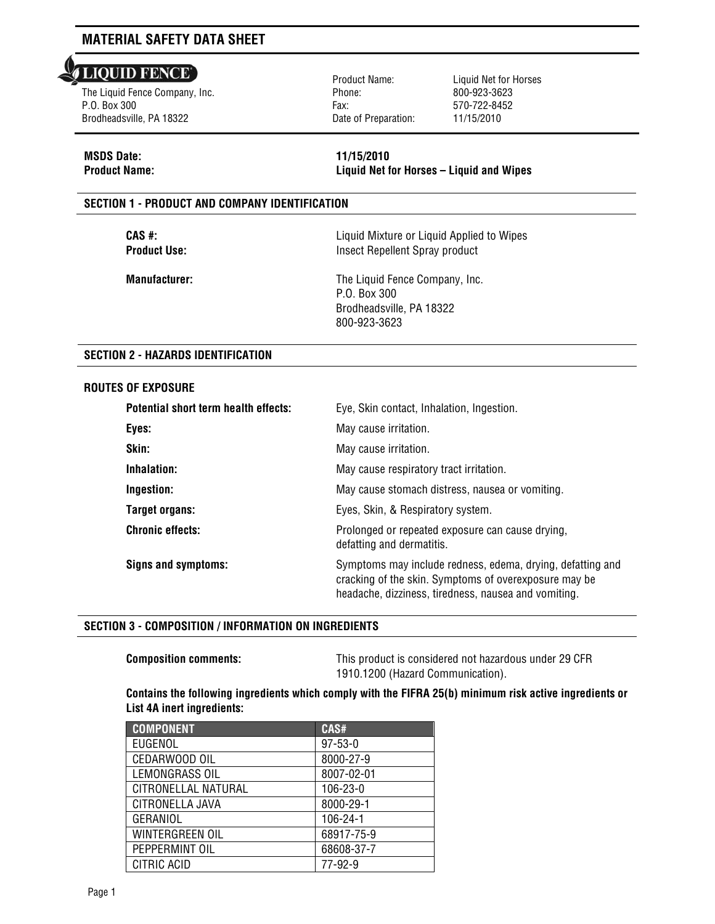#### **LIQUID FENCE** l

The Liquid Fence Company, Inc. P.O. Box 300 Brodheadsville, PA 18322

Product Name: Phone: Fax: Date of Preparation: Liquid Net for Horses 800-923-3623 570-722-8452 11/15/2010

# **MSDS Date: 11/15/2010**

**Product Name: Liquid Net for Horses – Liquid and Wipes**

## **SECTION 1 - PRODUCT AND COMPANY IDENTIFICATION**

**CAS #:** Liquid Mixture or Liquid Applied to Wipes **Product Use:** Insect Repellent Spray product

**Manufacturer:** The Liquid Fence Company, Inc. P.O. Box 300 Brodheadsville, PA 18322 800-923-3623

## **SECTION 2 - HAZARDS IDENTIFICATION**

### **ROUTES OF EXPOSURE**

| Potential short term health effects: | Eye, Skin contact, Inhalation, Ingestion.                                                                                                                                   |
|--------------------------------------|-----------------------------------------------------------------------------------------------------------------------------------------------------------------------------|
| Eyes:                                | May cause irritation.                                                                                                                                                       |
| Skin:                                | May cause irritation.                                                                                                                                                       |
| Inhalation:                          | May cause respiratory tract irritation.                                                                                                                                     |
| Ingestion:                           | May cause stomach distress, nausea or vomiting.                                                                                                                             |
| Target organs:                       | Eyes, Skin, & Respiratory system.                                                                                                                                           |
| <b>Chronic effects:</b>              | Prolonged or repeated exposure can cause drying,<br>defatting and dermatitis.                                                                                               |
| Signs and symptoms:                  | Symptoms may include redness, edema, drying, defatting and<br>cracking of the skin. Symptoms of overexposure may be<br>headache, dizziness, tiredness, nausea and vomiting. |

### **SECTION 3 - COMPOSITION / INFORMATION ON INGREDIENTS**

**Composition comments:** This product is considered not hazardous under 29 CFR 1910.1200 (Hazard Communication).

## **Contains the following ingredients which comply with the FIFRA 25(b) minimum risk active ingredients or List 4A inert ingredients:**

| <b>COMPONENT</b>    | CAS#          |
|---------------------|---------------|
| EUGENOL             | $97 - 53 - 0$ |
| CEDARWOOD OIL       | 8000-27-9     |
| LEMONGRASS OIL      | 8007-02-01    |
| CITRONELLAL NATURAL | 106-23-0      |
| CITRONELLA JAVA     | 8000-29-1     |
| GERANIOL            | 106-24-1      |
| WINTERGREEN OIL     | 68917-75-9    |
| PEPPERMINT OIL      | 68608-37-7    |
| CITRIC ACID         | 77-92-9       |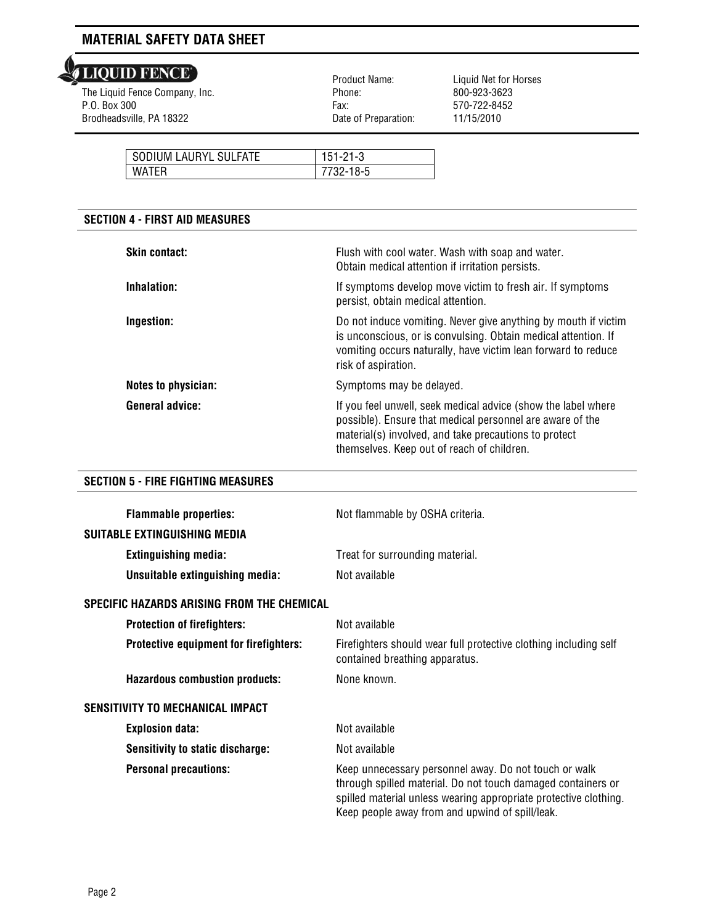The Liquid Fence Company, Inc. P.O. Box 300 Brodheadsville, PA 18322

 Product Name: Phone: Fax: Date of Preparation:

Liquid Net for Horses 800-923-3623 570-722-8452 11/15/2010

| SODIUM LAURYL SULFATE | $151 - 21 - 3$ |
|-----------------------|----------------|
| <b>WATFR</b>          | 732-18-5       |

## **SECTION 4 - FIRST AID MEASURES**

| <b>Skin contact:</b>   | Flush with cool water. Wash with soap and water.<br>Obtain medical attention if irritation persists.                                                                                                                              |
|------------------------|-----------------------------------------------------------------------------------------------------------------------------------------------------------------------------------------------------------------------------------|
| Inhalation:            | If symptoms develop move victim to fresh air. If symptoms<br>persist, obtain medical attention.                                                                                                                                   |
| Ingestion:             | Do not induce vomiting. Never give anything by mouth if victim<br>is unconscious, or is convulsing. Obtain medical attention. If<br>vomiting occurs naturally, have victim lean forward to reduce<br>risk of aspiration.          |
| Notes to physician:    | Symptoms may be delayed.                                                                                                                                                                                                          |
| <b>General advice:</b> | If you feel unwell, seek medical advice (show the label where<br>possible). Ensure that medical personnel are aware of the<br>material(s) involved, and take precautions to protect<br>themselves. Keep out of reach of children. |

## **SECTION 5 - FIRE FIGHTING MEASURES**

| <b>Flammable properties:</b>               | Not flammable by OSHA criteria.                                                                                                                                                                                                              |
|--------------------------------------------|----------------------------------------------------------------------------------------------------------------------------------------------------------------------------------------------------------------------------------------------|
| SUITABLE EXTINGUISHING MEDIA               |                                                                                                                                                                                                                                              |
| <b>Extinguishing media:</b>                | Treat for surrounding material.                                                                                                                                                                                                              |
| Unsuitable extinguishing media:            | Not available                                                                                                                                                                                                                                |
| SPECIFIC HAZARDS ARISING FROM THE CHEMICAL |                                                                                                                                                                                                                                              |
| <b>Protection of firefighters:</b>         | Not available                                                                                                                                                                                                                                |
| Protective equipment for firefighters:     | Firefighters should wear full protective clothing including self<br>contained breathing apparatus.                                                                                                                                           |
| <b>Hazardous combustion products:</b>      | None known.                                                                                                                                                                                                                                  |
| <b>SENSITIVITY TO MECHANICAL IMPACT</b>    |                                                                                                                                                                                                                                              |
| <b>Explosion data:</b>                     | Not available                                                                                                                                                                                                                                |
| <b>Sensitivity to static discharge:</b>    | Not available                                                                                                                                                                                                                                |
| <b>Personal precautions:</b>               | Keep unnecessary personnel away. Do not touch or walk<br>through spilled material. Do not touch damaged containers or<br>spilled material unless wearing appropriate protective clothing.<br>Keep people away from and upwind of spill/leak. |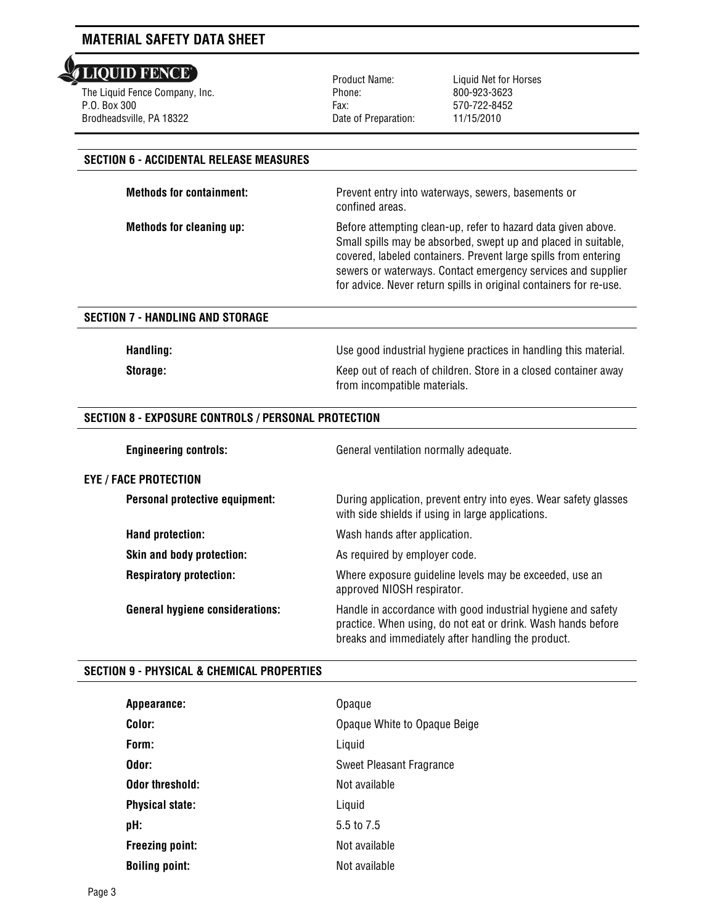**LIQUID FENCE** l

The Liquid Fence Company, Inc. P.O. Box 300 Brodheadsville, PA 18322

Product Name: Phone: Fax: Date of Preparation: Liquid Net for Horses 800-923-3623 570-722-8452 11/15/2010

## **SECTION 6 - ACCIDENTAL RELEASE MEASURES**

**Methods for containment:** Prevent entry into waterways, sewers, basements or confined areas.

**Methods for cleaning up:** Before attempting clean-up, refer to hazard data given above. Small spills may be absorbed, swept up and placed in suitable, covered, labeled containers. Prevent large spills from entering sewers or waterways. Contact emergency services and supplier for advice. Never return spills in original containers for re-use.

## **SECTION 7 - HANDLING AND STORAGE**

**Handling:** Use good industrial hygiene practices in handling this material.

**Storage:** Keep out of reach of children. Store in a closed container away from incompatible materials.

## **SECTION 8 - EXPOSURE CONTROLS / PERSONAL PROTECTION**

**Engineering controls:** General ventilation normally adequate.

**EYE / FACE PROTECTION Personal protective equipment:** During application, prevent entry into eyes. Wear safety glasses with side shields if using in large applications. **Hand protection:** Wash hands after application. **Skin and body protection:** As required by employer code. **Respiratory protection:** Where exposure guideline levels may be exceeded, use an approved NIOSH respirator. **General hygiene considerations:** Handle in accordance with good industrial hygiene and safety practice. When using, do not eat or drink. Wash hands before breaks and immediately after handling the product.

## **SECTION 9 - PHYSICAL & CHEMICAL PROPERTIES**

| Appearance:            | Opaque                       |
|------------------------|------------------------------|
| Color:                 | Opaque White to Opaque Beige |
| Form:                  | Liquid                       |
| Odor:                  | Sweet Pleasant Fragrance     |
| <b>Odor threshold:</b> | Not available                |
| <b>Physical state:</b> | Liquid                       |
| pH:                    | 5.5 to 7.5                   |
| <b>Freezing point:</b> | Not available                |
| <b>Boiling point:</b>  | Not available                |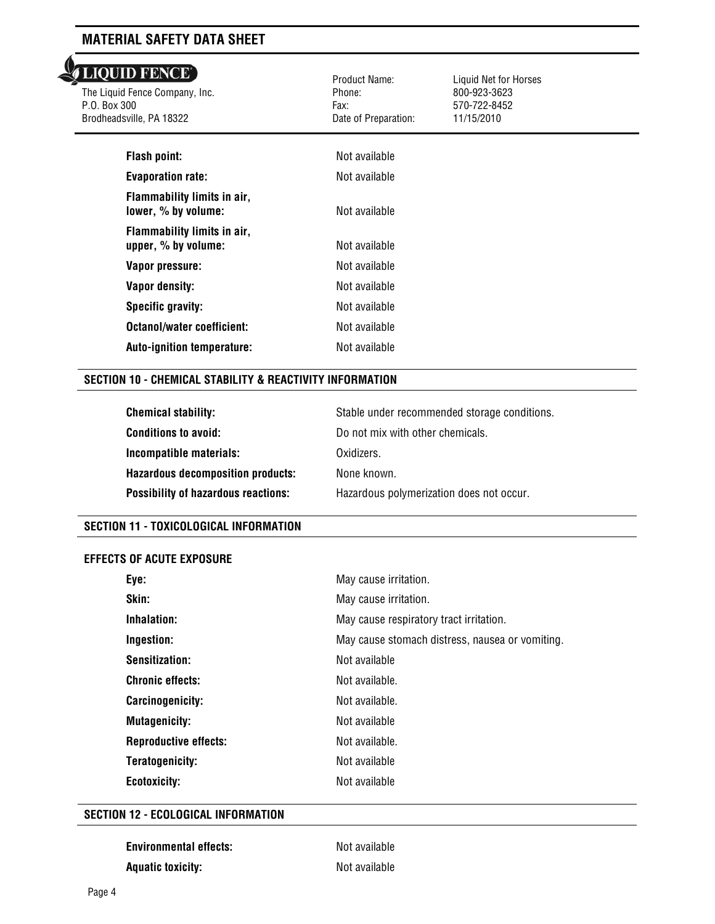# **LIQUID FENCE**

The Liquid Fence Company, Inc. P.O. Box 300 Brodheadsville, PA 18322

 Product Name: Phone: Fax: Date of Preparation:

Liquid Net for Horses 800-923-3623 570-722-8452 11/15/2010

| SVIIIU, FA TOJZZ                                     | Dale UI FIEDAIAUUII. | 11/19/2010 |  |
|------------------------------------------------------|----------------------|------------|--|
| <b>Flash point:</b>                                  | Not available        |            |  |
| <b>Evaporation rate:</b>                             | Not available        |            |  |
| Flammability limits in air,<br>lower, % by volume:   | Not available        |            |  |
| Flammability limits in air,<br>upper, $%$ by volume: | Not available        |            |  |
| Vapor pressure:                                      | Not available        |            |  |
| Vapor density:                                       | Not available        |            |  |
| Specific gravity:                                    | Not available        |            |  |
| Octanol/water coefficient:                           | Not available        |            |  |
| <b>Auto-ignition temperature:</b>                    | Not available        |            |  |
|                                                      |                      |            |  |

## **SECTION 10 - CHEMICAL STABILITY & REACTIVITY INFORMATION**

| <b>Chemical stability:</b>                 | Stable under recommended storage conditions. |
|--------------------------------------------|----------------------------------------------|
| <b>Conditions to avoid:</b>                | Do not mix with other chemicals.             |
| Incompatible materials:                    | Oxidizers.                                   |
| <b>Hazardous decomposition products:</b>   | None known.                                  |
| <b>Possibility of hazardous reactions:</b> | Hazardous polymerization does not occur.     |

### **SECTION 11 - TOXICOLOGICAL INFORMATION**

### **EFFECTS OF ACUTE EXPOSURE**

| Eye:                         | May cause irritation.                           |
|------------------------------|-------------------------------------------------|
| Skin:                        | May cause irritation.                           |
| Inhalation:                  | May cause respiratory tract irritation.         |
| Ingestion:                   | May cause stomach distress, nausea or vomiting. |
| Sensitization:               | Not available                                   |
| <b>Chronic effects:</b>      | Not available.                                  |
| Carcinogenicity:             | Not available.                                  |
| <b>Mutagenicity:</b>         | Not available                                   |
| <b>Reproductive effects:</b> | Not available.                                  |
| Teratogenicity:              | Not available                                   |
| Ecotoxicity:                 | Not available                                   |

## **SECTION 12 - ECOLOGICAL INFORMATION**

| <b>Environmental effects:</b> | Not available |
|-------------------------------|---------------|
| <b>Aquatic toxicity:</b>      | Not available |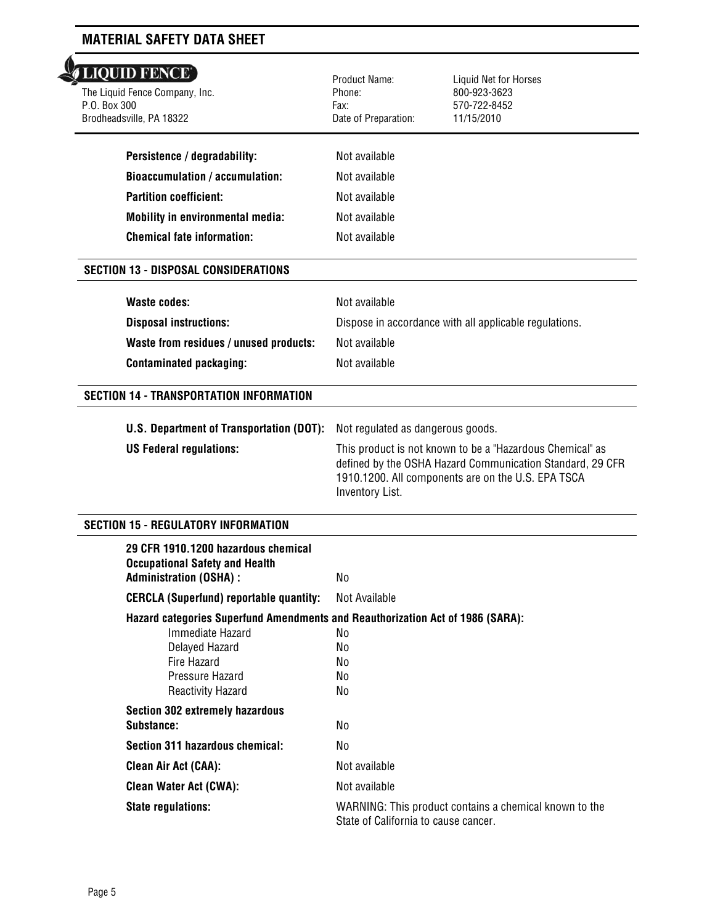# LIQUID FENCE'

 The Liquid Fence Company, Inc. P.O. Box 300 Brodheadsville, PA 18322

| Persistence / degradability:     |
|----------------------------------|
| Bioaccumulation / accumulation:  |
| Partition coefficient:           |
| Mobility in environmental media: |
| Chemical fate information:       |

## Product Name: Phone: Fax: Date of Preparation:

Liquid Net for Horses 800-923-3623 570-722-8452 11/15/2010

| Persistence / degradability:            | Not available |
|-----------------------------------------|---------------|
| <b>Bioaccumulation / accumulation:</b>  | Not available |
| Partition coefficient:                  | Not available |
| <b>Mobility in environmental media:</b> | Not available |
| <b>Chemical fate information:</b>       | Not available |

## **SECTION 13 - DISPOSAL CONSIDERATIONS**

| Waste codes:                           | Not available                                          |
|----------------------------------------|--------------------------------------------------------|
| <b>Disposal instructions:</b>          | Dispose in accordance with all applicable regulations. |
| Waste from residues / unused products: | Not available                                          |
| <b>Contaminated packaging:</b>         | Not available                                          |

## **SECTION 14 - TRANSPORTATION INFORMATION**

| <b>U.S. Department of Transportation (DOT):</b> Not regulated as dangerous goods. |                                                                                                                                                                                                        |
|-----------------------------------------------------------------------------------|--------------------------------------------------------------------------------------------------------------------------------------------------------------------------------------------------------|
| <b>US Federal regulations:</b>                                                    | This product is not known to be a "Hazardous Chemical" as<br>defined by the OSHA Hazard Communication Standard, 29 CFR<br>1910.1200. All components are on the U.S. EPA TSCA<br><b>Inventory List.</b> |

## **SECTION 15 - REGULATORY INFORMATION**

| 29 CFR 1910.1200 hazardous chemical<br><b>Occupational Safety and Health</b><br><b>Administration (OSHA):</b> | No.                                                                                            |  |
|---------------------------------------------------------------------------------------------------------------|------------------------------------------------------------------------------------------------|--|
| <b>CERCLA (Superfund) reportable quantity:</b>                                                                | Not Available                                                                                  |  |
| Hazard categories Superfund Amendments and Reauthorization Act of 1986 (SARA):                                |                                                                                                |  |
| Immediate Hazard                                                                                              | No.                                                                                            |  |
| Delayed Hazard                                                                                                | No.                                                                                            |  |
| Fire Hazard                                                                                                   | No.                                                                                            |  |
| Pressure Hazard                                                                                               | No.                                                                                            |  |
| Reactivity Hazard                                                                                             | No                                                                                             |  |
| <b>Section 302 extremely hazardous</b>                                                                        |                                                                                                |  |
| Substance:                                                                                                    | No                                                                                             |  |
| Section 311 hazardous chemical:                                                                               | No.                                                                                            |  |
| <b>Clean Air Act (CAA):</b>                                                                                   | Not available                                                                                  |  |
| <b>Clean Water Act (CWA):</b>                                                                                 | Not available                                                                                  |  |
| <b>State regulations:</b>                                                                                     | WARNING: This product contains a chemical known to the<br>State of California to cause cancer. |  |